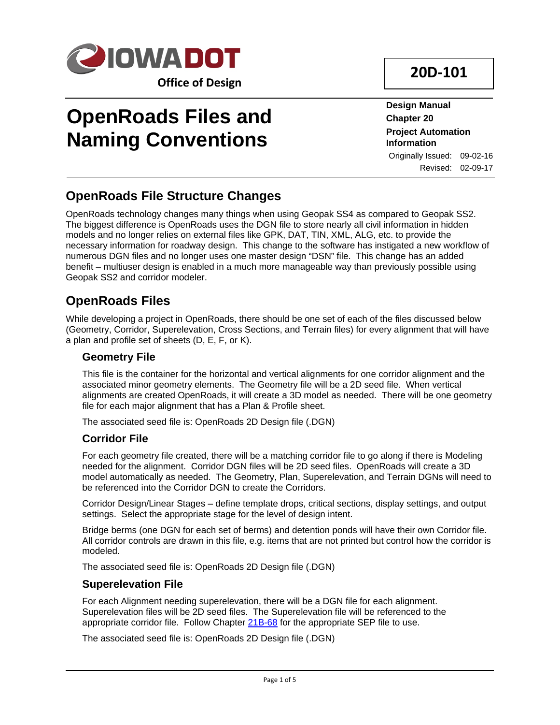

# **OpenRoads Files and Naming Conventions**

**20D-101**

**Design Manual Chapter 20 Project Automation Information** Originally Issued: 09-02-16 Revised: 02-09-17

# **OpenRoads File Structure Changes**

OpenRoads technology changes many things when using Geopak SS4 as compared to Geopak SS2. The biggest difference is OpenRoads uses the DGN file to store nearly all civil information in hidden models and no longer relies on external files like GPK, DAT, TIN, XML, ALG, etc. to provide the necessary information for roadway design. This change to the software has instigated a new workflow of numerous DGN files and no longer uses one master design "DSN" file. This change has an added benefit – multiuser design is enabled in a much more manageable way than previously possible using Geopak SS2 and corridor modeler.

# **OpenRoads Files**

While developing a project in OpenRoads, there should be one set of each of the files discussed below (Geometry, Corridor, Superelevation, Cross Sections, and Terrain files) for every alignment that will have a plan and profile set of sheets (D, E, F, or K).

# **Geometry File**

This file is the container for the horizontal and vertical alignments for one corridor alignment and the associated minor geometry elements. The Geometry file will be a 2D seed file. When vertical alignments are created OpenRoads, it will create a 3D model as needed. There will be one geometry file for each major alignment that has a Plan & Profile sheet.

The associated seed file is: OpenRoads 2D Design file (.DGN)

### **Corridor File**

For each geometry file created, there will be a matching corridor file to go along if there is Modeling needed for the alignment. Corridor DGN files will be 2D seed files. OpenRoads will create a 3D model automatically as needed. The Geometry, Plan, Superelevation, and Terrain DGNs will need to be referenced into the Corridor DGN to create the Corridors.

Corridor Design/Linear Stages – define template drops, critical sections, display settings, and output settings. Select the appropriate stage for the level of design intent.

Bridge berms (one DGN for each set of berms) and detention ponds will have their own Corridor file. All corridor controls are drawn in this file, e.g. items that are not printed but control how the corridor is modeled.

The associated seed file is: OpenRoads 2D Design file (.DGN)

### **Superelevation File**

For each Alignment needing superelevation, there will be a DGN file for each alignment. Superelevation files will be 2D seed files. The Superelevation file will be referenced to the appropriate corridor file. Follow Chapter 21B-68 for the appropriate SEP file to use.

The associated seed file is: OpenRoads 2D Design file (.DGN)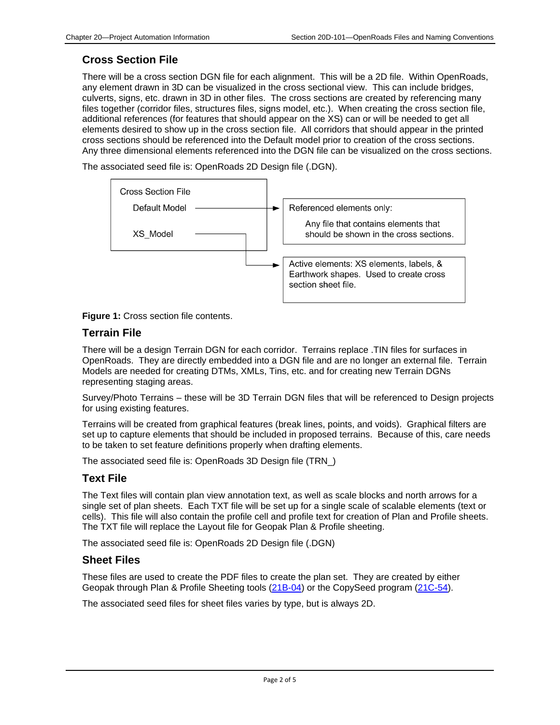# **Cross Section File**

There will be a cross section DGN file for each alignment. This will be a 2D file. Within OpenRoads, any element drawn in 3D can be visualized in the cross sectional view. This can include bridges, culverts, signs, etc. drawn in 3D in other files. The cross sections are created by referencing many files together (corridor files, structures files, signs model, etc.). When creating the cross section file, additional references (for features that should appear on the XS) can or will be needed to get all elements desired to show up in the cross section file. All corridors that should appear in the printed cross sections should be referenced into the Default model prior to creation of the cross sections. Any three dimensional elements referenced into the DGN file can be visualized on the cross sections.

The associated seed file is: OpenRoads 2D Design file (.DGN).





### **Terrain File**

There will be a design Terrain DGN for each corridor. Terrains replace .TIN files for surfaces in OpenRoads. They are directly embedded into a DGN file and are no longer an external file. Terrain Models are needed for creating DTMs, XMLs, Tins, etc. and for creating new Terrain DGNs representing staging areas.

Survey/Photo Terrains – these will be 3D Terrain DGN files that will be referenced to Design projects for using existing features.

Terrains will be created from graphical features (break lines, points, and voids). Graphical filters are set up to capture elements that should be included in proposed terrains. Because of this, care needs to be taken to set feature definitions properly when drafting elements.

The associated seed file is: OpenRoads 3D Design file (TRN\_)

# **Text File**

The Text files will contain plan view annotation text, as well as scale blocks and north arrows for a single set of plan sheets. Each TXT file will be set up for a single scale of scalable elements (text or cells). This file will also contain the profile cell and profile text for creation of Plan and Profile sheets. The TXT file will replace the Layout file for Geopak Plan & Profile sheeting.

The associated seed file is: OpenRoads 2D Design file (.DGN)

### **Sheet Files**

These files are used to create the PDF files to create the plan set. They are created by either Geopak through Plan & Profile Sheeting tools (21B-04) or the CopySeed program (21C-54).

The associated seed files for sheet files varies by type, but is always 2D.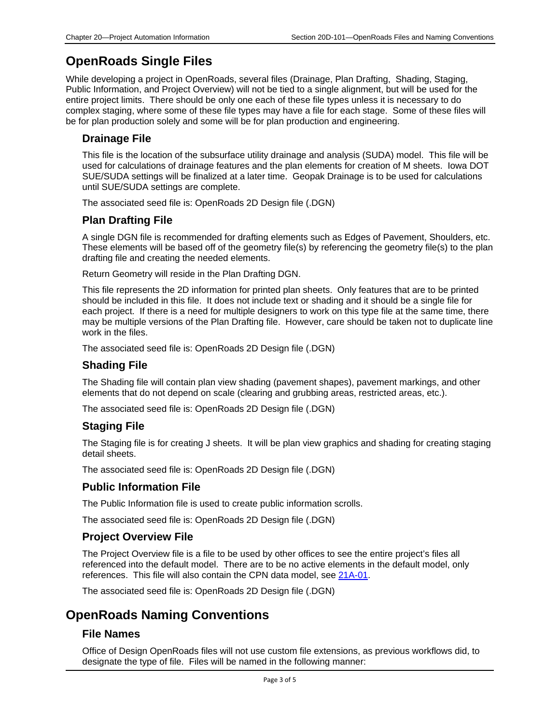# **OpenRoads Single Files**

While developing a project in OpenRoads, several files (Drainage, Plan Drafting, Shading, Staging, Public Information, and Project Overview) will not be tied to a single alignment, but will be used for the entire project limits. There should be only one each of these file types unless it is necessary to do complex staging, where some of these file types may have a file for each stage. Some of these files will be for plan production solely and some will be for plan production and engineering.

### **Drainage File**

This file is the location of the subsurface utility drainage and analysis (SUDA) model. This file will be used for calculations of drainage features and the plan elements for creation of M sheets. Iowa DOT SUE/SUDA settings will be finalized at a later time. Geopak Drainage is to be used for calculations until SUE/SUDA settings are complete.

The associated seed file is: OpenRoads 2D Design file (.DGN)

### **Plan Drafting File**

A single DGN file is recommended for drafting elements such as Edges of Pavement, Shoulders, etc. These elements will be based off of the geometry file(s) by referencing the geometry file(s) to the plan drafting file and creating the needed elements.

Return Geometry will reside in the Plan Drafting DGN.

This file represents the 2D information for printed plan sheets. Only features that are to be printed should be included in this file. It does not include text or shading and it should be a single file for each project. If there is a need for multiple designers to work on this type file at the same time, there may be multiple versions of the Plan Drafting file. However, care should be taken not to duplicate line work in the files.

The associated seed file is: OpenRoads 2D Design file (.DGN)

#### **Shading File**

The Shading file will contain plan view shading (pavement shapes), pavement markings, and other elements that do not depend on scale (clearing and grubbing areas, restricted areas, etc.).

The associated seed file is: OpenRoads 2D Design file (.DGN)

### **Staging File**

The Staging file is for creating J sheets. It will be plan view graphics and shading for creating staging detail sheets.

The associated seed file is: OpenRoads 2D Design file (.DGN)

#### **Public Information File**

The Public Information file is used to create public information scrolls.

The associated seed file is: OpenRoads 2D Design file (.DGN)

#### **Project Overview File**

The Project Overview file is a file to be used by other offices to see the entire project's files all referenced into the default model. There are to be no active elements in the default model, only references. This file will also contain the CPN data model, see 21A-01.

The associated seed file is: OpenRoads 2D Design file (.DGN)

# **OpenRoads Naming Conventions**

#### **File Names**

Office of Design OpenRoads files will not use custom file extensions, as previous workflows did, to designate the type of file. Files will be named in the following manner: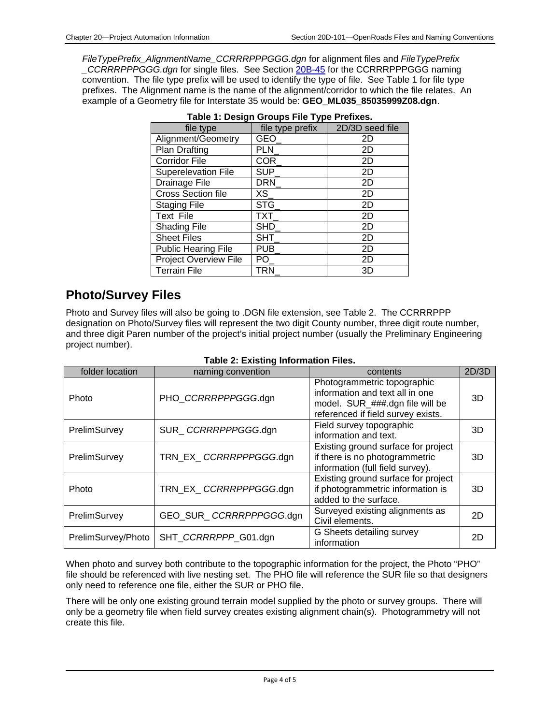*FileTypePrefix\_AlignmentName\_CCRRRPPPGGG.dgn* for alignment files and *FileTypePrefix \_CCRRRPPPGGG.dgn* for single files. See Section 20B-45 for the CCRRRPPPGGG naming convention. The file type prefix will be used to identify the type of file. See Table 1 for file type prefixes. The Alignment name is the name of the alignment/corridor to which the file relates. An example of a Geometry file for Interstate 35 would be: **GEO\_ML035\_85035999Z08.dgn**.

| file type                  | file type prefix | 2D/3D seed file |
|----------------------------|------------------|-----------------|
| Alignment/Geometry         | GEO_             | 2D              |
| Plan Drafting              | PLN              | 2D              |
| <b>Corridor File</b>       | <b>COR</b>       | 2D              |
| <b>Superelevation File</b> | <b>SUP</b>       | 2D              |
| Drainage File              | DRN_             | 2D              |
| <b>Cross Section file</b>  | XS               | 2D              |
| <b>Staging File</b>        | STG              | 2D              |
| Text File                  | TXT              | 2D              |
| <b>Shading File</b>        | SHD              | 2D              |
| <b>Sheet Files</b>         | <b>SHT</b>       | 2D              |
| <b>Public Hearing File</b> | PUB_             | 2D              |
| Project Overview File      | PO.              | 2D              |
| <b>Terrain File</b>        | TRN              | 3D              |

|  | Table 1: Design Groups File Type Prefixes. |
|--|--------------------------------------------|
|  |                                            |

# **Photo/Survey Files**

Photo and Survey files will also be going to .DGN file extension, see Table 2. The CCRRRPPP designation on Photo/Survey files will represent the two digit County number, three digit route number, and three digit Paren number of the project's initial project number (usually the Preliminary Engineering project number).

| folder location    | naming convention       | contents                                                                                                                                | 2D/3D |
|--------------------|-------------------------|-----------------------------------------------------------------------------------------------------------------------------------------|-------|
| Photo              | PHO CCRRRPPPGGG.dgn     | Photogrammetric topographic<br>information and text all in one<br>model. SUR_###.dgn file will be<br>referenced if field survey exists. | 3D    |
| PrelimSurvey       | SUR CCRRRPPPGGG.dgn     | Field survey topographic<br>information and text.                                                                                       | 3D    |
| PrelimSurvey       | TRN EX CCRRRPPPGGG.dgn  | Existing ground surface for project<br>if there is no photogrammetric<br>information (full field survey).                               | 3D    |
| Photo              | TRN EX CCRRRPPPGGG.dgn  | Existing ground surface for project<br>if photogrammetric information is<br>added to the surface.                                       | 3D    |
| PrelimSurvey       | GEO SUR CCRRRPPPGGG.dgn | Surveyed existing alignments as<br>Civil elements.                                                                                      | 2D    |
| PrelimSurvey/Photo | SHT CCRRRPPP_G01.dgn    | G Sheets detailing survey<br>information                                                                                                | 2D    |

|--|

When photo and survey both contribute to the topographic information for the project, the Photo "PHO" file should be referenced with live nesting set. The PHO file will reference the SUR file so that designers only need to reference one file, either the SUR or PHO file.

There will be only one existing ground terrain model supplied by the photo or survey groups. There will only be a geometry file when field survey creates existing alignment chain(s). Photogrammetry will not create this file.